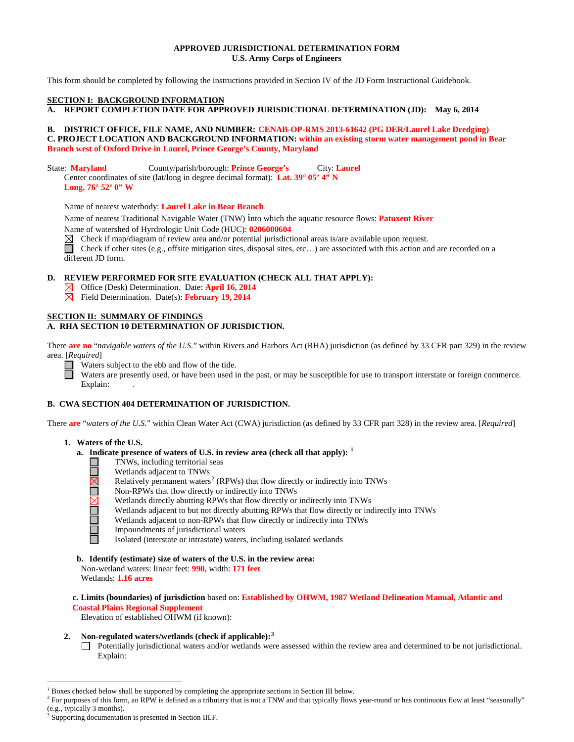## **APPROVED JURISDICTIONAL DETERMINATION FORM U.S. Army Corps of Engineers**

This form should be completed by following the instructions provided in Section IV of the JD Form Instructional Guidebook.

### **SECTION I: BACKGROUND INFORMATION**

**A. REPORT COMPLETION DATE FOR APPROVED JURISDICTIONAL DETERMINATION (JD): May 6, 2014**

## **B. DISTRICT OFFICE, FILE NAME, AND NUMBER: CENAB-OP-RMS 2013-61642 (PG DER/Laurel Lake Dredging) C. PROJECT LOCATION AND BACKGROUND INFORMATION: within an existing storm water management pond in Bear Branch west of Oxford Drive in Laurel, Prince George's County, Maryland**

State: **Maryland** County/parish/borough: **Prince George's** City: **Laurel** Center coordinates of site (lat/long in degree decimal format): **Lat. 39° 05' 4" N** 

**Long. 76° 52' 0" W**

Name of nearest waterbody: **Laurel Lake in Bear Branch** 

Name of nearest Traditional Navigable Water (TNW) into which the aquatic resource flows: **Patuxent River** Name of watershed of Hyrdrologic Unit Code (HUC): **0206000604**

 $\boxtimes$  Check if map/diagram of review area and/or potential jurisdictional areas is/are available upon request.

Check if other sites (e.g., offsite mitigation sites, disposal sites, etc...) are associated with this action and are recorded on a different JD form.

# **D. REVIEW PERFORMED FOR SITE EVALUATION (CHECK ALL THAT APPLY):**

- Office (Desk) Determination. Date: **April 16, 2014**
- Field Determination. Date(s): **February 19, 2014**

## **SECTION II: SUMMARY OF FINDINGS**

## **A. RHA SECTION 10 DETERMINATION OF JURISDICTION.**

There **are no** "*navigable waters of the U.S.*" within Rivers and Harbors Act (RHA) jurisdiction (as defined by 33 CFR part 329) in the review area. [*Required*]

 $\Box$ Waters subject to the ebb and flow of the tide.

Waters are presently used, or have been used in the past, or may be susceptible for use to transport interstate or foreign commerce. Explain:

# **B. CWA SECTION 404 DETERMINATION OF JURISDICTION.**

There **are** "*waters of the U.S.*" within Clean Water Act (CWA) jurisdiction (as defined by 33 CFR part 328) in the review area. [*Required*]

### **1. Waters of the U.S.**

- **a. Indicate presence of waters of U.S. in review area (check all that apply): [1](#page-0-0)**
	- **NALISI DEL TELE** TNWs, including territorial seas
		- Wetlands adjacent to TNWs
		- Relatively permanent waters<sup>[2](#page-0-1)</sup> (RPWs) that flow directly or indirectly into TNWs
		- Non-RPWs that flow directly or indirectly into TNWs
		- Wetlands directly abutting RPWs that flow directly or indirectly into TNWs
		- Wetlands adjacent to but not directly abutting RPWs that flow directly or indirectly into TNWs
		- Wetlands adjacent to non-RPWs that flow directly or indirectly into TNWs
			- Impoundments of jurisdictional waters
			- Isolated (interstate or intrastate) waters, including isolated wetlands
- **b. Identify (estimate) size of waters of the U.S. in the review area:**
- Non-wetland waters: linear feet: **990,** width: **171 feet** Wetlands: **1.16 acres**

**c. Limits (boundaries) of jurisdiction** based on: **Established by OHWM, 1987 Wetland Delineation Manual, Atlantic and Coastal Plains Regional Supplement**

Elevation of established OHWM (if known):

## **2. Non-regulated waters/wetlands (check if applicable): [3](#page-0-2)**

Potentially jurisdictional waters and/or wetlands were assessed within the review area and determined to be not jurisdictional. Explain:

<span id="page-0-0"></span> <sup>1</sup> Boxes checked below shall be supported by completing the appropriate sections in Section III below.

<span id="page-0-1"></span><sup>&</sup>lt;sup>2</sup> For purposes of this form, an RPW is defined as a tributary that is not a TNW and that typically flows year-round or has continuous flow at least "seasonally" (e.g., typically 3 months).

<span id="page-0-2"></span>Supporting documentation is presented in Section III.F.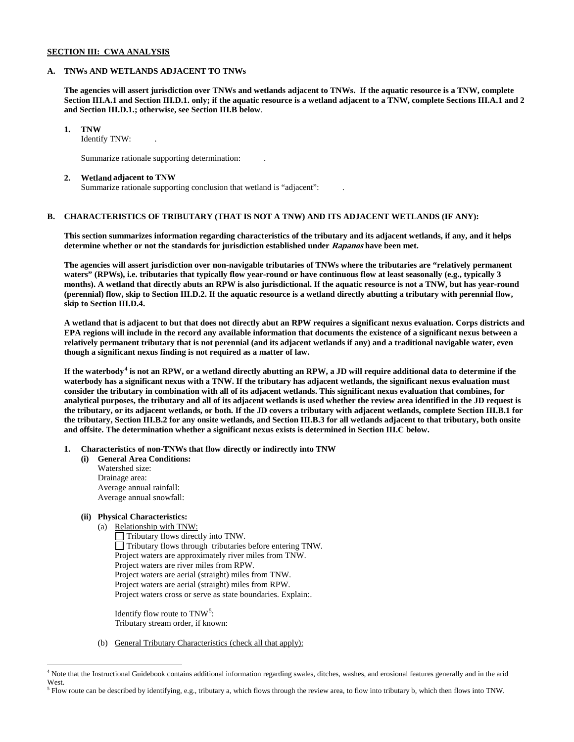## **SECTION III: CWA ANALYSIS**

### **A. TNWs AND WETLANDS ADJACENT TO TNWs**

**The agencies will assert jurisdiction over TNWs and wetlands adjacent to TNWs. If the aquatic resource is a TNW, complete Section III.A.1 and Section III.D.1. only; if the aquatic resource is a wetland adjacent to a TNW, complete Sections III.A.1 and 2 and Section III.D.1.; otherwise, see Section III.B below**.

## **1. TNW**

Identify TNW: .

Summarize rationale supporting determination: .

#### **2. Wetland adjacent to TNW**

Summarize rationale supporting conclusion that wetland is "adjacent": .

## **B. CHARACTERISTICS OF TRIBUTARY (THAT IS NOT A TNW) AND ITS ADJACENT WETLANDS (IF ANY):**

**This section summarizes information regarding characteristics of the tributary and its adjacent wetlands, if any, and it helps determine whether or not the standards for jurisdiction established under Rapanos have been met.** 

**The agencies will assert jurisdiction over non-navigable tributaries of TNWs where the tributaries are "relatively permanent waters" (RPWs), i.e. tributaries that typically flow year-round or have continuous flow at least seasonally (e.g., typically 3 months). A wetland that directly abuts an RPW is also jurisdictional. If the aquatic resource is not a TNW, but has year-round (perennial) flow, skip to Section III.D.2. If the aquatic resource is a wetland directly abutting a tributary with perennial flow, skip to Section III.D.4.**

**A wetland that is adjacent to but that does not directly abut an RPW requires a significant nexus evaluation. Corps districts and EPA regions will include in the record any available information that documents the existence of a significant nexus between a relatively permanent tributary that is not perennial (and its adjacent wetlands if any) and a traditional navigable water, even though a significant nexus finding is not required as a matter of law.**

**If the waterbody[4](#page-1-0) is not an RPW, or a wetland directly abutting an RPW, a JD will require additional data to determine if the waterbody has a significant nexus with a TNW. If the tributary has adjacent wetlands, the significant nexus evaluation must consider the tributary in combination with all of its adjacent wetlands. This significant nexus evaluation that combines, for analytical purposes, the tributary and all of its adjacent wetlands is used whether the review area identified in the JD request is the tributary, or its adjacent wetlands, or both. If the JD covers a tributary with adjacent wetlands, complete Section III.B.1 for the tributary, Section III.B.2 for any onsite wetlands, and Section III.B.3 for all wetlands adjacent to that tributary, both onsite and offsite. The determination whether a significant nexus exists is determined in Section III.C below.**

**1. Characteristics of non-TNWs that flow directly or indirectly into TNW**

**(i) General Area Conditions:** Watershed size: Drainage area: Average annual rainfall: Average annual snowfall:

## **(ii) Physical Characteristics:**

(a) Relationship with TNW:

Tributary flows directly into TNW. Tributary flows through tributaries before entering TNW. Project waters are approximately river miles from TNW. Project waters are river miles from RPW. Project waters are aerial (straight) miles from TNW. Project waters are aerial (straight) miles from RPW. Project waters cross or serve as state boundaries. Explain:.

Identify flow route to  $TNW<sup>5</sup>$  $TNW<sup>5</sup>$  $TNW<sup>5</sup>$ : Tributary stream order, if known:

(b) General Tributary Characteristics (check all that apply):

<span id="page-1-0"></span><sup>&</sup>lt;sup>4</sup> Note that the Instructional Guidebook contains additional information regarding swales, ditches, washes, and erosional features generally and in the arid West.

<span id="page-1-1"></span> $<sup>5</sup>$  Flow route can be described by identifying, e.g., tributary a, which flows through the review area, to flow into tributary b, which then flows into TNW.</sup>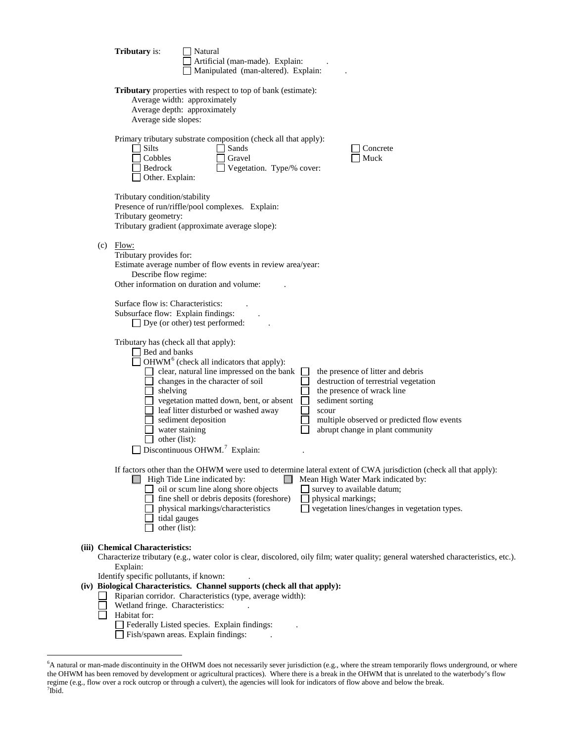|  | <b>Tributary</b> is:                                                                                                                                      | Natural<br>Artificial (man-made). Explain:<br>Manipulated (man-altered). Explain:                                                                                                                                                                                            |       |                                                                                                                                                                                                                                                             |
|--|-----------------------------------------------------------------------------------------------------------------------------------------------------------|------------------------------------------------------------------------------------------------------------------------------------------------------------------------------------------------------------------------------------------------------------------------------|-------|-------------------------------------------------------------------------------------------------------------------------------------------------------------------------------------------------------------------------------------------------------------|
|  | Average width: approximately<br>Average depth: approximately<br>Average side slopes:                                                                      | Tributary properties with respect to top of bank (estimate):                                                                                                                                                                                                                 |       |                                                                                                                                                                                                                                                             |
|  | Silts<br>$\overline{\phantom{a}}$<br>Cobbles<br>Bedrock<br>Other. Explain:                                                                                | Primary tributary substrate composition (check all that apply):<br>Sands<br>Gravel<br>Vegetation. Type/% cover:                                                                                                                                                              |       | Concrete<br>Muck                                                                                                                                                                                                                                            |
|  | Tributary condition/stability<br>Tributary geometry:                                                                                                      | Presence of run/riffle/pool complexes. Explain:<br>Tributary gradient (approximate average slope):                                                                                                                                                                           |       |                                                                                                                                                                                                                                                             |
|  | $(c)$ Flow:<br>Tributary provides for:<br>Describe flow regime:<br>Other information on duration and volume:                                              | Estimate average number of flow events in review area/year:                                                                                                                                                                                                                  |       |                                                                                                                                                                                                                                                             |
|  | Surface flow is: Characteristics:<br>Subsurface flow: Explain findings:<br>$\Box$ Dye (or other) test performed:                                          |                                                                                                                                                                                                                                                                              |       |                                                                                                                                                                                                                                                             |
|  | Tributary has (check all that apply):<br>$\Box$ Bed and banks<br>shelving<br>$\Box$ sediment deposition<br>$\blacksquare$ water staining<br>other (list): | $\Box$ OHWM <sup>6</sup> (check all indicators that apply):<br>clear, natural line impressed on the bank<br>changes in the character of soil<br>vegetation matted down, bent, or absent<br>leaf litter disturbed or washed away<br>Discontinuous OHWM. <sup>7</sup> Explain: | scour | the presence of litter and debris<br>destruction of terrestrial vegetation<br>the presence of wrack line<br>sediment sorting<br>multiple observed or predicted flow events<br>abrupt change in plant community                                              |
|  | tidal gauges<br>other (list):                                                                                                                             | High Tide Line indicated by:<br>$\Box$ oil or scum line along shore objects<br>fine shell or debris deposits (foreshore)<br>physical markings/characteristics                                                                                                                |       | If factors other than the OHWM were used to determine lateral extent of CWA jurisdiction (check all that apply):<br>Mean High Water Mark indicated by:<br>survey to available datum;<br>physical markings;<br>vegetation lines/changes in vegetation types. |
|  | (iii) Chemical Characteristics:<br>Explain:                                                                                                               |                                                                                                                                                                                                                                                                              |       | Characterize tributary (e.g., water color is clear, discolored, oily film; water quality; general watershed characteristics, etc.).                                                                                                                         |
|  | Identify specific pollutants, if known:<br>Wetland fringe. Characteristics:<br>Habitat for:<br>Fish/spawn areas. Explain findings:                        | (iv) Biological Characteristics. Channel supports (check all that apply):<br>Riparian corridor. Characteristics (type, average width):<br>Federally Listed species. Explain findings:                                                                                        |       |                                                                                                                                                                                                                                                             |

<span id="page-2-1"></span><span id="page-2-0"></span> <sup>6</sup> A natural or man-made discontinuity in the OHWM does not necessarily sever jurisdiction (e.g., where the stream temporarily flows underground, or where the OHWM has been removed by development or agricultural practices). Where there is a break in the OHWM that is unrelated to the waterbody's flow regime (e.g., flow over a rock outcrop or through a culvert), the agencies will look for indicators of flow above and below the break.<br><sup>7</sup>Ibid.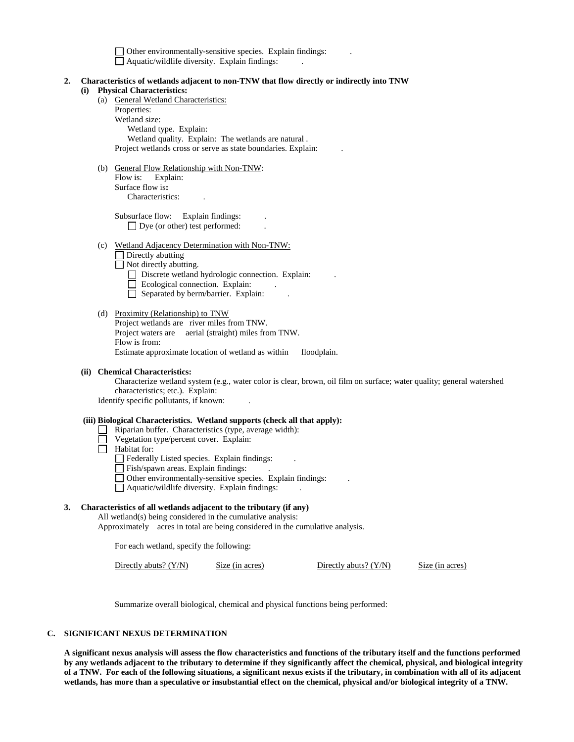$\Box$  Other environmentally-sensitive species. Explain findings: Aquatic/wildlife diversity. Explain findings: .

- **2. Characteristics of wetlands adjacent to non-TNW that flow directly or indirectly into TNW (i) Physical Characteristics:**
	- (a) General Wetland Characteristics:

Properties: Wetland size: Wetland type. Explain: Wetland quality. Explain: The wetlands are natural . Project wetlands cross or serve as state boundaries. Explain: .

(b) General Flow Relationship with Non-TNW: Flow is: Explain: Surface flow is**:** Characteristics: .

> Subsurface flow: Explain findings: □ Dye (or other) test performed:

(c) Wetland Adjacency Determination with Non-TNW:

 $\Box$  Directly abutting

Not directly abutting.

- Discrete wetland hydrologic connection. Explain:
- $\Box$  Ecological connection. Explain:
- $\Box$  Separated by berm/barrier. Explain:
- (d) Proximity (Relationship) to TNW Project wetlands are river miles from TNW. Project waters are aerial (straight) miles from TNW. Flow is from: Estimate approximate location of wetland as within floodplain.
- **(ii) Chemical Characteristics:**

Characterize wetland system (e.g., water color is clear, brown, oil film on surface; water quality; general watershed characteristics; etc.). Explain:

Identify specific pollutants, if known: .

#### **(iii) Biological Characteristics. Wetland supports (check all that apply):**

- $\Box$  Riparian buffer. Characteristics (type, average width):
	- Vegetation type/percent cover. Explain:
- $\Box$  Habitat for:

Federally Listed species. Explain findings: .

- Fish/spawn areas. Explain findings:
- Other environmentally-sensitive species. Explain findings: .
- $\Box$  Aquatic/wildlife diversity. Explain findings:

### **3. Characteristics of all wetlands adjacent to the tributary (if any)**

All wetland(s) being considered in the cumulative analysis:

Approximately acres in total are being considered in the cumulative analysis.

For each wetland, specify the following:

Directly abuts? (Y/N) Size (in acres) Directly abuts? (Y/N) Size (in acres)

Summarize overall biological, chemical and physical functions being performed:

#### **C. SIGNIFICANT NEXUS DETERMINATION**

**A significant nexus analysis will assess the flow characteristics and functions of the tributary itself and the functions performed by any wetlands adjacent to the tributary to determine if they significantly affect the chemical, physical, and biological integrity of a TNW. For each of the following situations, a significant nexus exists if the tributary, in combination with all of its adjacent wetlands, has more than a speculative or insubstantial effect on the chemical, physical and/or biological integrity of a TNW.**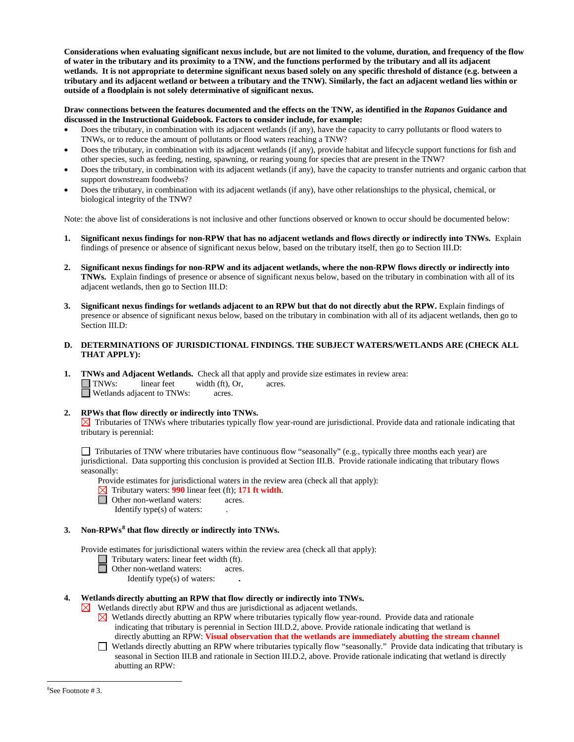**Considerations when evaluating significant nexus include, but are not limited to the volume, duration, and frequency of the flow of water in the tributary and its proximity to a TNW, and the functions performed by the tributary and all its adjacent wetlands. It is not appropriate to determine significant nexus based solely on any specific threshold of distance (e.g. between a tributary and its adjacent wetland or between a tributary and the TNW). Similarly, the fact an adjacent wetland lies within or outside of a floodplain is not solely determinative of significant nexus.** 

## **Draw connections between the features documented and the effects on the TNW, as identified in the** *Rapanos* **Guidance and discussed in the Instructional Guidebook. Factors to consider include, for example:**

- Does the tributary, in combination with its adjacent wetlands (if any), have the capacity to carry pollutants or flood waters to TNWs, or to reduce the amount of pollutants or flood waters reaching a TNW?
- Does the tributary, in combination with its adjacent wetlands (if any), provide habitat and lifecycle support functions for fish and other species, such as feeding, nesting, spawning, or rearing young for species that are present in the TNW?
- Does the tributary, in combination with its adjacent wetlands (if any), have the capacity to transfer nutrients and organic carbon that support downstream foodwebs?
- Does the tributary, in combination with its adjacent wetlands (if any), have other relationships to the physical, chemical, or biological integrity of the TNW?

Note: the above list of considerations is not inclusive and other functions observed or known to occur should be documented below:

- **1. Significant nexus findings for non-RPW that has no adjacent wetlands and flows directly or indirectly into TNWs.** Explain findings of presence or absence of significant nexus below, based on the tributary itself, then go to Section III.D:
- **2. Significant nexus findings for non-RPW and its adjacent wetlands, where the non-RPW flows directly or indirectly into TNWs.** Explain findings of presence or absence of significant nexus below, based on the tributary in combination with all of its adjacent wetlands, then go to Section III.D:
- **3. Significant nexus findings for wetlands adjacent to an RPW but that do not directly abut the RPW.** Explain findings of presence or absence of significant nexus below, based on the tributary in combination with all of its adjacent wetlands, then go to Section III.D:
- **D. DETERMINATIONS OF JURISDICTIONAL FINDINGS. THE SUBJECT WATERS/WETLANDS ARE (CHECK ALL THAT APPLY):**
- **1. TNWs and Adjacent Wetlands.** Check all that apply and provide size estimates in review area:<br>
TNWs: linear feet width (ft), Or, acres.  $I$  linear feet width  $(ft)$ , Or, acres. Wetlands adjacent to TNWs: acres.

## **2. RPWs that flow directly or indirectly into TNWs.**

 $\boxtimes$  Tributaries of TNWs where tributaries typically flow year-round are jurisdictional. Provide data and rationale indicating that tributary is perennial:

 $\Box$  Tributaries of TNW where tributaries have continuous flow "seasonally" (e.g., typically three months each year) are jurisdictional. Data supporting this conclusion is provided at Section III.B. Provide rationale indicating that tributary flows seasonally:

Provide estimates for jurisdictional waters in the review area (check all that apply):

- Tributary waters: **990** linear feet (ft); **171 ft width**.
- **D** Other non-wetland waters: acres.
	- Identify type $(s)$  of waters:

## **3. Non-RPWs[8](#page-4-0) that flow directly or indirectly into TNWs.**

Provide estimates for jurisdictional waters within the review area (check all that apply):

- Tributary waters: linear feet width (ft).
- Other non-wetland waters: acres.

Identify type(s) of waters: **.**

## **4. Wetlands directly abutting an RPW that flow directly or indirectly into TNWs.**

 $\boxtimes$  Wetlands directly abut RPW and thus are jurisdictional as adjacent wetlands.

- $\boxtimes$  Wetlands directly abutting an RPW where tributaries typically flow year-round. Provide data and rationale indicating that tributary is perennial in Section III.D.2, above. Provide rationale indicating that wetland is directly abutting an RPW: **Visual observation that the wetlands are immediately abutting the stream channel**
- <span id="page-4-0"></span>Wetlands directly abutting an RPW where tributaries typically flow "seasonally." Provide data indicating that tributary is seasonal in Section III.B and rationale in Section III.D.2, above. Provide rationale indicating that wetland is directly abutting an RPW: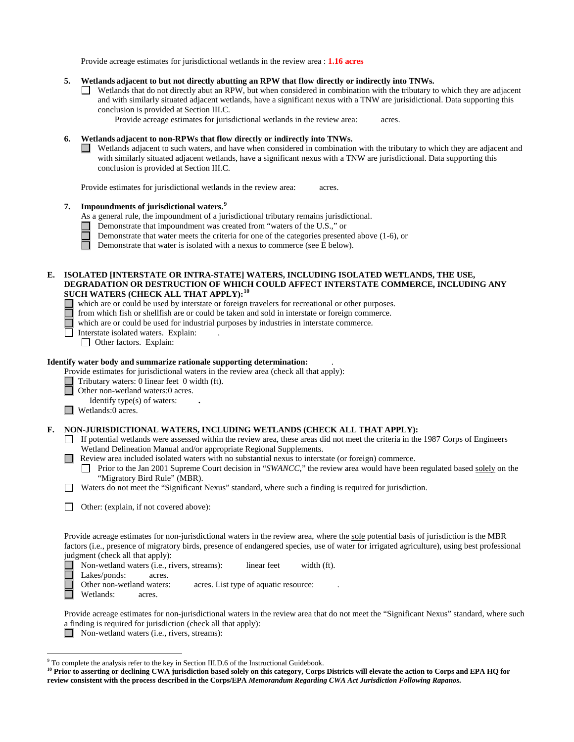Provide acreage estimates for jurisdictional wetlands in the review area : **1.16 acres**

- **5. Wetlands adjacent to but not directly abutting an RPW that flow directly or indirectly into TNWs.**
	- Wetlands that do not directly abut an RPW, but when considered in combination with the tributary to which they are adjacent and with similarly situated adjacent wetlands, have a significant nexus with a TNW are jurisidictional. Data supporting this conclusion is provided at Section III.C.

Provide acreage estimates for jurisdictional wetlands in the review area: acres.

### **6. Wetlands adjacent to non-RPWs that flow directly or indirectly into TNWs.**

Wetlands adjacent to such waters, and have when considered in combination with the tributary to which they are adjacent and with similarly situated adjacent wetlands, have a significant nexus with a TNW are jurisdictional. Data supporting this conclusion is provided at Section III.C.

Provide estimates for jurisdictional wetlands in the review area: acres.

## **7. Impoundments of jurisdictional waters. [9](#page-5-0)**

As a general rule, the impoundment of a jurisdictional tributary remains jurisdictional.

- Demonstrate that impoundment was created from "waters of the U.S.," or
- Demonstrate that water meets the criteria for one of the categories presented above (1-6), or

П Demonstrate that water is isolated with a nexus to commerce (see E below).

### **E. ISOLATED [INTERSTATE OR INTRA-STATE] WATERS, INCLUDING ISOLATED WETLANDS, THE USE, DEGRADATION OR DESTRUCTION OF WHICH COULD AFFECT INTERSTATE COMMERCE, INCLUDING ANY SUCH WATERS (CHECK ALL THAT APPLY):[10](#page-5-1)**

- which are or could be used by interstate or foreign travelers for recreational or other purposes.
- from which fish or shellfish are or could be taken and sold in interstate or foreign commerce.
- A which are or could be used for industrial purposes by industries in interstate commerce.
	- Interstate isolated waters.Explain: .
		- Other factors.Explain:

#### **Identify water body and summarize rationale supporting determination:** .

Provide estimates for jurisdictional waters in the review area (check all that apply):

- Tributary waters: 0 linear feet 0 width (ft).
- Other non-wetland waters:0 acres.
- Identify type(s) of waters: **.**

■ Wetlands:0 acres.

### **F. NON-JURISDICTIONAL WATERS, INCLUDING WETLANDS (CHECK ALL THAT APPLY):**

- $\Box$  If potential wetlands were assessed within the review area, these areas did not meet the criteria in the 1987 Corps of Engineers Wetland Delineation Manual and/or appropriate Regional Supplements.
- Review area included isolated waters with no substantial nexus to interstate (or foreign) commerce.
	- Prior to the Jan 2001 Supreme Court decision in "*SWANCC*," the review area would have been regulated based solely on the "Migratory Bird Rule" (MBR).
- Waters do not meet the "Significant Nexus" standard, where such a finding is required for jurisdiction.

|  |  | □ Other: (explain, if not covered above): |  |  |  |
|--|--|-------------------------------------------|--|--|--|
|--|--|-------------------------------------------|--|--|--|

Provide acreage estimates for non-jurisdictional waters in the review area, where the sole potential basis of jurisdiction is the MBR factors (i.e., presence of migratory birds, presence of endangered species, use of water for irrigated agriculture), using best professional judgment (check all that apply):

■ Non-wetland waters (i.e., rivers, streams): linear feet width (ft).

 $\Box$ Lakes/ponds: acres.

Other non-wetland waters: acres. List type of aquatic resource:

Wetlands: acres.

П

Provide acreage estimates for non-jurisdictional waters in the review area that do not meet the "Significant Nexus" standard, where such a finding is required for jurisdiction (check all that apply):

Non-wetland waters (i.e., rivers, streams):

<span id="page-5-0"></span><sup>&</sup>lt;sup>9</sup> To complete the analysis refer to the key in Section III.D.6 of the Instructional Guidebook.

<span id="page-5-1"></span><sup>&</sup>lt;sup>10</sup> Prior to asserting or declining CWA jurisdiction based solely on this category, Corps Districts will elevate the action to Corps and EPA HQ for **review consistent with the process described in the Corps/EPA** *Memorandum Regarding CWA Act Jurisdiction Following Rapanos.*